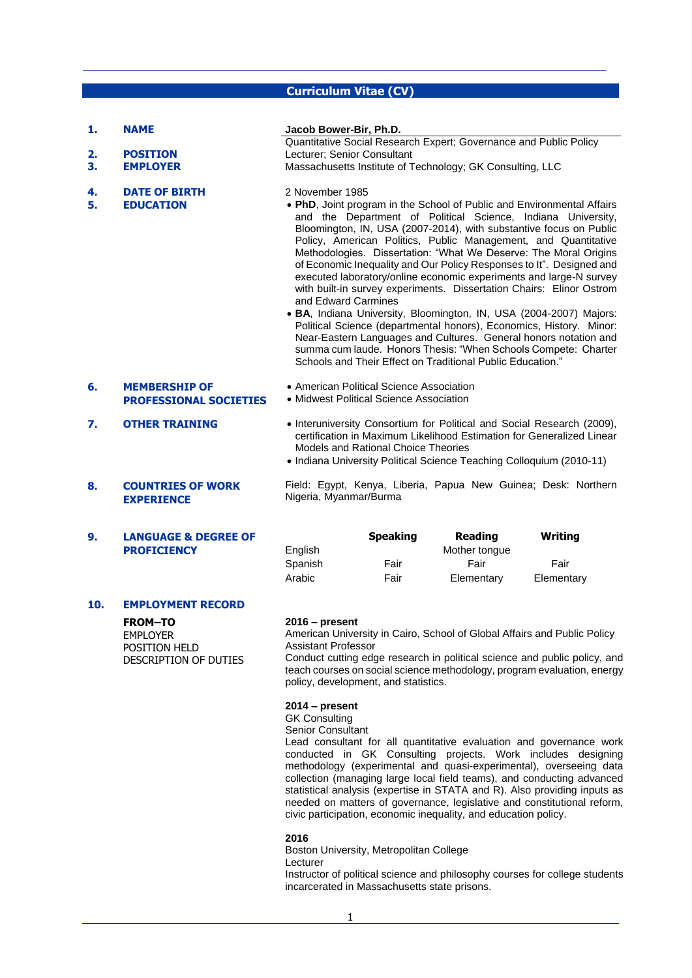# **Curriculum Vitae (CV)**

| 1.       | <b>NAME</b>                                           | Jacob Bower-Bir, Ph.D.                                                                                                                                                                                                                                                                                                                                                                                                                                                                                                                                                                                                                                                                                                                                                                                                                                                                                                                                              |
|----------|-------------------------------------------------------|---------------------------------------------------------------------------------------------------------------------------------------------------------------------------------------------------------------------------------------------------------------------------------------------------------------------------------------------------------------------------------------------------------------------------------------------------------------------------------------------------------------------------------------------------------------------------------------------------------------------------------------------------------------------------------------------------------------------------------------------------------------------------------------------------------------------------------------------------------------------------------------------------------------------------------------------------------------------|
| 2.       | <b>POSITION</b>                                       | Quantitative Social Research Expert; Governance and Public Policy<br>Lecturer; Senior Consultant                                                                                                                                                                                                                                                                                                                                                                                                                                                                                                                                                                                                                                                                                                                                                                                                                                                                    |
| 3.       | <b>EMPLOYER</b>                                       | Massachusetts Institute of Technology; GK Consulting, LLC                                                                                                                                                                                                                                                                                                                                                                                                                                                                                                                                                                                                                                                                                                                                                                                                                                                                                                           |
|          |                                                       |                                                                                                                                                                                                                                                                                                                                                                                                                                                                                                                                                                                                                                                                                                                                                                                                                                                                                                                                                                     |
| 4.<br>5. | <b>DATE OF BIRTH</b><br><b>EDUCATION</b>              | 2 November 1985<br>• PhD, Joint program in the School of Public and Environmental Affairs<br>and the Department of Political Science, Indiana University,<br>Bloomington, IN, USA (2007-2014), with substantive focus on Public<br>Policy, American Politics, Public Management, and Quantitative<br>Methodologies. Dissertation: "What We Deserve: The Moral Origins<br>of Economic Inequality and Our Policy Responses to It". Designed and<br>executed laboratory/online economic experiments and large-N survey<br>with built-in survey experiments. Dissertation Chairs: Elinor Ostrom<br>and Edward Carmines<br>• BA, Indiana University, Bloomington, IN, USA (2004-2007) Majors:<br>Political Science (departmental honors), Economics, History. Minor:<br>Near-Eastern Languages and Cultures. General honors notation and<br>summa cum laude. Honors Thesis: "When Schools Compete: Charter<br>Schools and Their Effect on Traditional Public Education." |
| 6.       | <b>MEMBERSHIP OF</b><br><b>PROFESSIONAL SOCIETIES</b> | • American Political Science Association<br>• Midwest Political Science Association                                                                                                                                                                                                                                                                                                                                                                                                                                                                                                                                                                                                                                                                                                                                                                                                                                                                                 |
| 7.       | <b>OTHER TRAINING</b>                                 | • Interuniversity Consortium for Political and Social Research (2009),<br>certification in Maximum Likelihood Estimation for Generalized Linear<br>Models and Rational Choice Theories<br>• Indiana University Political Science Teaching Colloquium (2010-11)                                                                                                                                                                                                                                                                                                                                                                                                                                                                                                                                                                                                                                                                                                      |
| 8.       | <b>COUNTRIES OF WORK</b><br><b>EXPERIENCE</b>         | Field: Egypt, Kenya, Liberia, Papua New Guinea; Desk: Northern<br>Nigeria, Myanmar/Burma                                                                                                                                                                                                                                                                                                                                                                                                                                                                                                                                                                                                                                                                                                                                                                                                                                                                            |
|          |                                                       |                                                                                                                                                                                                                                                                                                                                                                                                                                                                                                                                                                                                                                                                                                                                                                                                                                                                                                                                                                     |

|         | <b>Speaking</b> | <b>Reading</b> | Writing    |
|---------|-----------------|----------------|------------|
| English |                 | Mother tonque  |            |
| Spanish | Fair            | Fair           | Fair       |
| Arabic  | Fair            | Elementary     | Elementary |

# **10. EMPLOYMENT RECORD**

**9. LANGUAGE & DEGREE OF PROFICIENCY**

> **FROM–TO** EMPLOYER POSITION HELD DESCRIPTION OF DUTIES

#### **2016 – present**

American University in Cairo, School of Global Affairs and Public Policy Assistant Professor

Conduct cutting edge research in political science and public policy, and teach courses on social science methodology, program evaluation, energy policy, development, and statistics.

#### **2014 – present**

GK Consulting Senior Consultant Lead consultant for all quantitative evaluation and governance work conducted in GK Consulting projects. Work includes designing methodology (experimental and quasi-experimental), overseeing data

collection (managing large local field teams), and conducting advanced statistical analysis (expertise in STATA and R). Also providing inputs as needed on matters of governance, legislative and constitutional reform, civic participation, economic inequality, and education policy.

# **2016**

Boston University, Metropolitan College Lecturer Instructor of political science and philosophy courses for college students incarcerated in Massachusetts state prisons.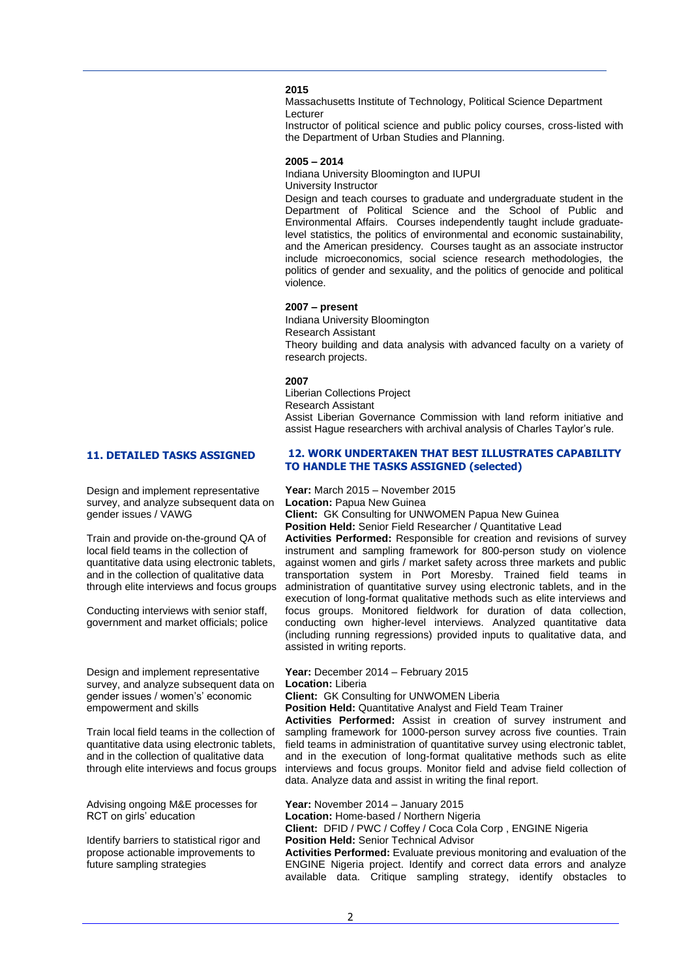## **2015**

Massachusetts Institute of Technology, Political Science Department Lecturer

Instructor of political science and public policy courses, cross-listed with the Department of Urban Studies and Planning.

#### **2005 – 2014**

Indiana University Bloomington and IUPUI University Instructor

Design and teach courses to graduate and undergraduate student in the Department of Political Science and the School of Public and Environmental Affairs. Courses independently taught include graduatelevel statistics, the politics of environmental and economic sustainability, and the American presidency. Courses taught as an associate instructor include microeconomics, social science research methodologies, the politics of gender and sexuality, and the politics of genocide and political violence.

#### **2007 – present**

Indiana University Bloomington Research Assistant Theory building and data analysis with advanced faculty on a variety of research projects.

#### **2007**

Liberian Collections Project Research Assistant Assist Liberian Governance Commission with land reform initiative and assist Hague researchers with archival analysis of Charles Taylor's rule.

Design and implement representative survey, and analyze subsequent data on gender issues / VAWG

Train and provide on-the-ground QA of local field teams in the collection of quantitative data using electronic tablets, and in the collection of qualitative data through elite interviews and focus groups

Conducting interviews with senior staff, government and market officials; police

Design and implement representative survey, and analyze subsequent data on gender issues / women's' economic empowerment and skills

Train local field teams in the collection of quantitative data using electronic tablets, and in the collection of qualitative data through elite interviews and focus groups

Advising ongoing M&E processes for RCT on girls' education

Identify barriers to statistical rigor and propose actionable improvements to future sampling strategies

### **11. DETAILED TASKS ASSIGNED 12. WORK UNDERTAKEN THAT BEST ILLUSTRATES CAPABILITY TO HANDLE THE TASKS ASSIGNED (selected)**

**Year:** March 2015 – November 2015

**Location:** Papua New Guinea

**Client:** GK Consulting for UNWOMEN Papua New Guinea

**Position Held:** Senior Field Researcher / Quantitative Lead

**Activities Performed:** Responsible for creation and revisions of survey instrument and sampling framework for 800-person study on violence against women and girls / market safety across three markets and public transportation system in Port Moresby. Trained field teams in administration of quantitative survey using electronic tablets, and in the execution of long-format qualitative methods such as elite interviews and focus groups. Monitored fieldwork for duration of data collection, conducting own higher-level interviews. Analyzed quantitative data (including running regressions) provided inputs to qualitative data, and assisted in writing reports.

**Year:** December 2014 – February 2015 **Location:** Liberia **Client:** GK Consulting for UNWOMEN Liberia

**Position Held: Quantitative Analyst and Field Team Trainer** 

**Activities Performed:** Assist in creation of survey instrument and sampling framework for 1000-person survey across five counties. Train field teams in administration of quantitative survey using electronic tablet, and in the execution of long-format qualitative methods such as elite interviews and focus groups. Monitor field and advise field collection of data. Analyze data and assist in writing the final report.

**Year:** November 2014 – January 2015 **Location:** Home-based / Northern Nigeria **Client:** DFID / PWC / Coffey / Coca Cola Corp , ENGINE Nigeria **Position Held:** Senior Technical Advisor **Activities Performed:** Evaluate previous monitoring and evaluation of the ENGINE Nigeria project. Identify and correct data errors and analyze available data. Critique sampling strategy, identify obstacles to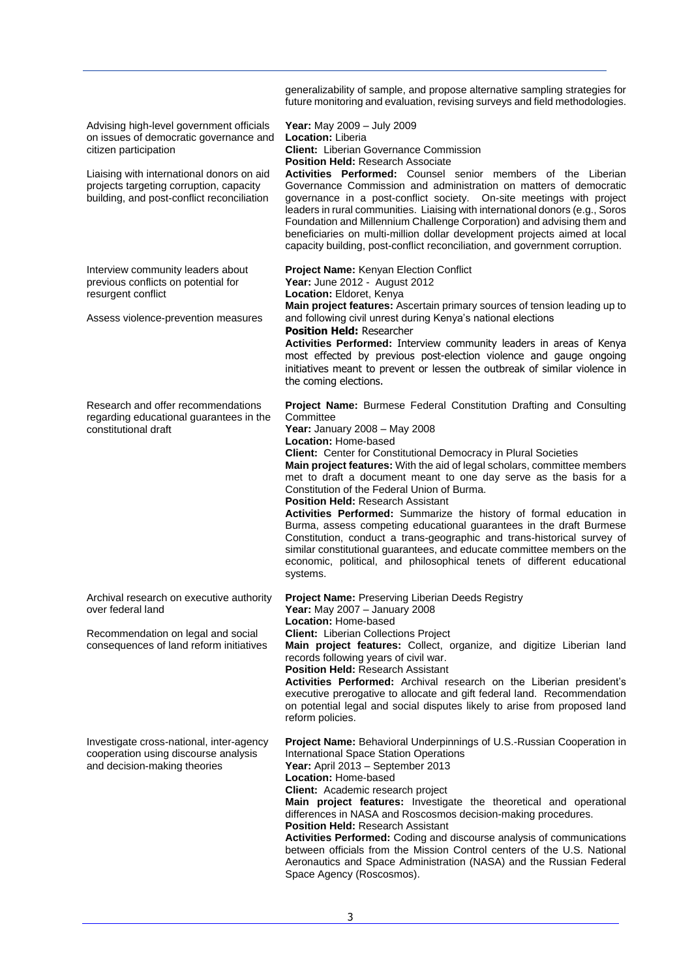|                                                                                                                                                                                                                                                   | generalizability of sample, and propose alternative sampling strategies for<br>future monitoring and evaluation, revising surveys and field methodologies.                                                                                                                                                                                                                                                                                                                                                                                                                                                                                                                                                                                                                                                                                              |
|---------------------------------------------------------------------------------------------------------------------------------------------------------------------------------------------------------------------------------------------------|---------------------------------------------------------------------------------------------------------------------------------------------------------------------------------------------------------------------------------------------------------------------------------------------------------------------------------------------------------------------------------------------------------------------------------------------------------------------------------------------------------------------------------------------------------------------------------------------------------------------------------------------------------------------------------------------------------------------------------------------------------------------------------------------------------------------------------------------------------|
| Advising high-level government officials<br>on issues of democratic governance and<br>citizen participation<br>Liaising with international donors on aid<br>projects targeting corruption, capacity<br>building, and post-conflict reconciliation | Year: May 2009 - July 2009<br><b>Location: Liberia</b><br><b>Client:</b> Liberian Governance Commission<br><b>Position Held: Research Associate</b><br><b>Activities Performed:</b> Counsel senior members of the Liberian<br>Governance Commission and administration on matters of democratic<br>governance in a post-conflict society. On-site meetings with project<br>leaders in rural communities. Liaising with international donors (e.g., Soros<br>Foundation and Millennium Challenge Corporation) and advising them and<br>beneficiaries on multi-million dollar development projects aimed at local<br>capacity building, post-conflict reconciliation, and government corruption.                                                                                                                                                          |
| Interview community leaders about<br>previous conflicts on potential for<br>resurgent conflict<br>Assess violence-prevention measures                                                                                                             | Project Name: Kenyan Election Conflict<br>Year: June 2012 - August 2012<br>Location: Eldoret, Kenya<br>Main project features: Ascertain primary sources of tension leading up to<br>and following civil unrest during Kenya's national elections<br><b>Position Held: Researcher</b><br>Activities Performed: Interview community leaders in areas of Kenya<br>most effected by previous post-election violence and gauge ongoing<br>initiatives meant to prevent or lessen the outbreak of similar violence in<br>the coming elections.                                                                                                                                                                                                                                                                                                                |
| Research and offer recommendations<br>regarding educational guarantees in the<br>constitutional draft                                                                                                                                             | Project Name: Burmese Federal Constitution Drafting and Consulting<br>Committee<br>Year: January 2008 - May 2008<br>Location: Home-based<br><b>Client:</b> Center for Constitutional Democracy in Plural Societies<br>Main project features: With the aid of legal scholars, committee members<br>met to draft a document meant to one day serve as the basis for a<br>Constitution of the Federal Union of Burma.<br><b>Position Held: Research Assistant</b><br>Activities Performed: Summarize the history of formal education in<br>Burma, assess competing educational guarantees in the draft Burmese<br>Constitution, conduct a trans-geographic and trans-historical survey of<br>similar constitutional guarantees, and educate committee members on the<br>economic, political, and philosophical tenets of different educational<br>systems. |
| Archival research on executive authority<br>over federal land<br>Recommendation on legal and social<br>consequences of land reform initiatives                                                                                                    | Project Name: Preserving Liberian Deeds Registry<br>Year: May 2007 - January 2008<br><b>Location: Home-based</b><br><b>Client:</b> Liberian Collections Project<br>Main project features: Collect, organize, and digitize Liberian land<br>records following years of civil war.<br><b>Position Held: Research Assistant</b><br>Activities Performed: Archival research on the Liberian president's<br>executive prerogative to allocate and gift federal land. Recommendation<br>on potential legal and social disputes likely to arise from proposed land<br>reform policies.                                                                                                                                                                                                                                                                         |
| Investigate cross-national, inter-agency<br>cooperation using discourse analysis<br>and decision-making theories                                                                                                                                  | Project Name: Behavioral Underpinnings of U.S.-Russian Cooperation in<br><b>International Space Station Operations</b><br>Year: April 2013 - September 2013<br>Location: Home-based<br>Client: Academic research project<br>Main project features: Investigate the theoretical and operational<br>differences in NASA and Roscosmos decision-making procedures.<br><b>Position Held: Research Assistant</b><br>Activities Performed: Coding and discourse analysis of communications<br>between officials from the Mission Control centers of the U.S. National<br>Aeronautics and Space Administration (NASA) and the Russian Federal<br>Space Agency (Roscosmos).                                                                                                                                                                                     |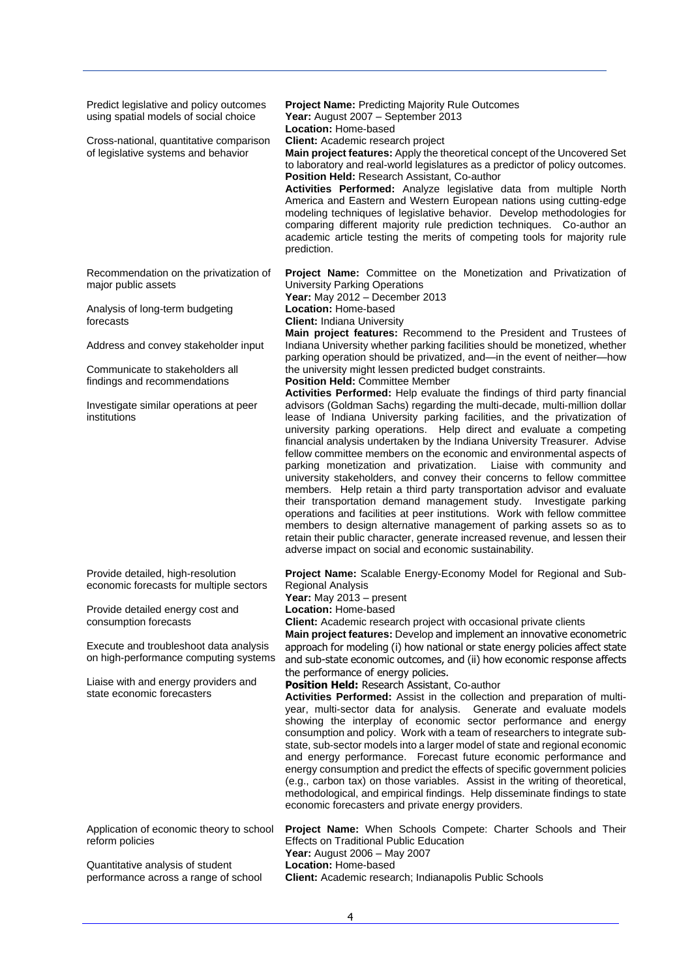| Predict legislative and policy outcomes<br>using spatial models of social choice | <b>Project Name: Predicting Majority Rule Outcomes</b><br>Year: August 2007 - September 2013<br>Location: Home-based                                                                                                                                                                                                                                                                                                                                                                                                                                                                                                                                                                                                                                                                                                                                                                                                                                                          |  |
|----------------------------------------------------------------------------------|-------------------------------------------------------------------------------------------------------------------------------------------------------------------------------------------------------------------------------------------------------------------------------------------------------------------------------------------------------------------------------------------------------------------------------------------------------------------------------------------------------------------------------------------------------------------------------------------------------------------------------------------------------------------------------------------------------------------------------------------------------------------------------------------------------------------------------------------------------------------------------------------------------------------------------------------------------------------------------|--|
| Cross-national, quantitative comparison<br>of legislative systems and behavior   | Client: Academic research project<br>Main project features: Apply the theoretical concept of the Uncovered Set<br>to laboratory and real-world legislatures as a predictor of policy outcomes.<br><b>Position Held: Research Assistant, Co-author</b><br>Activities Performed: Analyze legislative data from multiple North<br>America and Eastern and Western European nations using cutting-edge<br>modeling techniques of legislative behavior. Develop methodologies for<br>comparing different majority rule prediction techniques. Co-author an<br>academic article testing the merits of competing tools for majority rule<br>prediction.                                                                                                                                                                                                                                                                                                                              |  |
| Recommendation on the privatization of<br>major public assets                    | Project Name: Committee on the Monetization and Privatization of<br>University Parking Operations<br>Year: May 2012 - December 2013                                                                                                                                                                                                                                                                                                                                                                                                                                                                                                                                                                                                                                                                                                                                                                                                                                           |  |
| Analysis of long-term budgeting<br>forecasts                                     | Location: Home-based<br><b>Client: Indiana University</b>                                                                                                                                                                                                                                                                                                                                                                                                                                                                                                                                                                                                                                                                                                                                                                                                                                                                                                                     |  |
| Address and convey stakeholder input                                             | Main project features: Recommend to the President and Trustees of<br>Indiana University whether parking facilities should be monetized, whether<br>parking operation should be privatized, and-in the event of neither-how                                                                                                                                                                                                                                                                                                                                                                                                                                                                                                                                                                                                                                                                                                                                                    |  |
| Communicate to stakeholders all<br>findings and recommendations                  | the university might lessen predicted budget constraints.<br><b>Position Held: Committee Member</b><br>Activities Performed: Help evaluate the findings of third party financial                                                                                                                                                                                                                                                                                                                                                                                                                                                                                                                                                                                                                                                                                                                                                                                              |  |
| Investigate similar operations at peer<br>institutions                           | advisors (Goldman Sachs) regarding the multi-decade, multi-million dollar<br>lease of Indiana University parking facilities, and the privatization of<br>university parking operations. Help direct and evaluate a competing<br>financial analysis undertaken by the Indiana University Treasurer. Advise<br>fellow committee members on the economic and environmental aspects of<br>parking monetization and privatization. Liaise with community and<br>university stakeholders, and convey their concerns to fellow committee<br>members. Help retain a third party transportation advisor and evaluate<br>their transportation demand management study. Investigate parking<br>operations and facilities at peer institutions. Work with fellow committee<br>members to design alternative management of parking assets so as to<br>retain their public character, generate increased revenue, and lessen their<br>adverse impact on social and economic sustainability. |  |
| Provide detailed, high-resolution<br>economic forecasts for multiple sectors     | Project Name: Scalable Energy-Economy Model for Regional and Sub-<br>Regional Analysis<br>Year: May 2013 - present                                                                                                                                                                                                                                                                                                                                                                                                                                                                                                                                                                                                                                                                                                                                                                                                                                                            |  |
| Provide detailed energy cost and<br>consumption forecasts                        | Location: Home-based<br>Client: Academic research project with occasional private clients<br>Main project features: Develop and implement an innovative econometric                                                                                                                                                                                                                                                                                                                                                                                                                                                                                                                                                                                                                                                                                                                                                                                                           |  |
| Execute and troubleshoot data analysis<br>on high-performance computing systems  | approach for modeling (i) how national or state energy policies affect state<br>and sub-state economic outcomes, and (ii) how economic response affects                                                                                                                                                                                                                                                                                                                                                                                                                                                                                                                                                                                                                                                                                                                                                                                                                       |  |
| Liaise with and energy providers and<br>state economic forecasters               | the performance of energy policies.<br>Position Held: Research Assistant, Co-author<br>Activities Performed: Assist in the collection and preparation of multi-<br>year, multi-sector data for analysis. Generate and evaluate models<br>showing the interplay of economic sector performance and energy<br>consumption and policy. Work with a team of researchers to integrate sub-<br>state, sub-sector models into a larger model of state and regional economic<br>and energy performance. Forecast future economic performance and<br>energy consumption and predict the effects of specific government policies<br>(e.g., carbon tax) on those variables. Assist in the writing of theoretical,<br>methodological, and empirical findings. Help disseminate findings to state<br>economic forecasters and private energy providers.                                                                                                                                    |  |
| Application of economic theory to school<br>reform policies                      | Project Name: When Schools Compete: Charter Schools and Their<br><b>Effects on Traditional Public Education</b><br>Year: August 2006 - May 2007                                                                                                                                                                                                                                                                                                                                                                                                                                                                                                                                                                                                                                                                                                                                                                                                                               |  |
| Quantitative analysis of student<br>performance across a range of school         | Location: Home-based<br>Client: Academic research; Indianapolis Public Schools                                                                                                                                                                                                                                                                                                                                                                                                                                                                                                                                                                                                                                                                                                                                                                                                                                                                                                |  |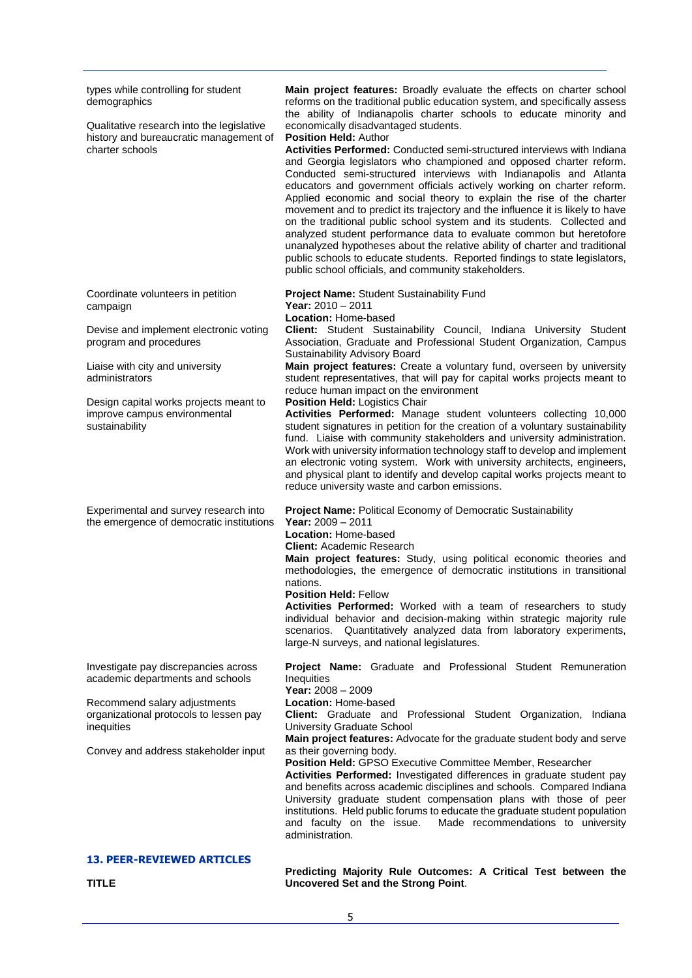| types while controlling for student<br>demographics<br>Qualitative research into the legislative<br>history and bureaucratic management of<br>charter schools                                            | Main project features: Broadly evaluate the effects on charter school<br>reforms on the traditional public education system, and specifically assess<br>the ability of Indianapolis charter schools to educate minority and<br>economically disadvantaged students.<br>Position Held: Author<br><b>Activities Performed:</b> Conducted semi-structured interviews with Indiana<br>and Georgia legislators who championed and opposed charter reform.<br>Conducted semi-structured interviews with Indianapolis and Atlanta<br>educators and government officials actively working on charter reform.<br>Applied economic and social theory to explain the rise of the charter<br>movement and to predict its trajectory and the influence it is likely to have<br>on the traditional public school system and its students. Collected and<br>analyzed student performance data to evaluate common but heretofore<br>unanalyzed hypotheses about the relative ability of charter and traditional<br>public schools to educate students. Reported findings to state legislators,<br>public school officials, and community stakeholders. |
|----------------------------------------------------------------------------------------------------------------------------------------------------------------------------------------------------------|----------------------------------------------------------------------------------------------------------------------------------------------------------------------------------------------------------------------------------------------------------------------------------------------------------------------------------------------------------------------------------------------------------------------------------------------------------------------------------------------------------------------------------------------------------------------------------------------------------------------------------------------------------------------------------------------------------------------------------------------------------------------------------------------------------------------------------------------------------------------------------------------------------------------------------------------------------------------------------------------------------------------------------------------------------------------------------------------------------------------------------------|
| Coordinate volunteers in petition<br>campaign                                                                                                                                                            | Project Name: Student Sustainability Fund<br>Year: $2010 - 2011$                                                                                                                                                                                                                                                                                                                                                                                                                                                                                                                                                                                                                                                                                                                                                                                                                                                                                                                                                                                                                                                                       |
| Devise and implement electronic voting<br>program and procedures                                                                                                                                         | Location: Home-based<br>Client: Student Sustainability Council, Indiana University Student<br>Association, Graduate and Professional Student Organization, Campus<br>Sustainability Advisory Board<br>Main project features: Create a voluntary fund, overseen by university<br>student representatives, that will pay for capital works projects meant to<br>reduce human impact on the environment                                                                                                                                                                                                                                                                                                                                                                                                                                                                                                                                                                                                                                                                                                                                   |
| Liaise with city and university<br>administrators                                                                                                                                                        |                                                                                                                                                                                                                                                                                                                                                                                                                                                                                                                                                                                                                                                                                                                                                                                                                                                                                                                                                                                                                                                                                                                                        |
| Design capital works projects meant to<br>improve campus environmental<br>sustainability                                                                                                                 | Position Held: Logistics Chair<br>Activities Performed: Manage student volunteers collecting 10,000<br>student signatures in petition for the creation of a voluntary sustainability<br>fund. Liaise with community stakeholders and university administration.<br>Work with university information technology staff to develop and implement<br>an electronic voting system. Work with university architects, engineers,<br>and physical plant to identify and develop capital works projects meant to<br>reduce university waste and carbon emissions.                                                                                                                                                                                                                                                                                                                                                                                                                                                                                                                                                                               |
| Experimental and survey research into<br>the emergence of democratic institutions                                                                                                                        | Project Name: Political Economy of Democratic Sustainability<br>Year: $2009 - 2011$<br>Location: Home-based<br><b>Client: Academic Research</b><br>Main project features: Study, using political economic theories and<br>methodologies, the emergence of democratic institutions in transitional<br>nations.<br><b>Position Held: Fellow</b><br>Activities Performed: Worked with a team of researchers to study<br>individual behavior and decision-making within strategic majority rule<br>scenarios. Quantitatively analyzed data from laboratory experiments,<br>large-N surveys, and national legislatures.                                                                                                                                                                                                                                                                                                                                                                                                                                                                                                                     |
| Investigate pay discrepancies across<br>academic departments and schools<br>Recommend salary adjustments<br>organizational protocols to lessen pay<br>inequities<br>Convey and address stakeholder input | Project Name: Graduate and Professional Student Remuneration<br>Inequities<br>Year: 2008 - 2009<br>Location: Home-based<br>Client: Graduate and Professional Student Organization, Indiana<br>University Graduate School<br>Main project features: Advocate for the graduate student body and serve<br>as their governing body.<br>Position Held: GPSO Executive Committee Member, Researcher<br>Activities Performed: Investigated differences in graduate student pay<br>and benefits across academic disciplines and schools. Compared Indiana<br>University graduate student compensation plans with those of peer<br>institutions. Held public forums to educate the graduate student population<br>Made recommendations to university<br>and faculty on the issue.<br>administration.                                                                                                                                                                                                                                                                                                                                            |
| <b>13. PEER-REVIEWED ARTICLES</b>                                                                                                                                                                        |                                                                                                                                                                                                                                                                                                                                                                                                                                                                                                                                                                                                                                                                                                                                                                                                                                                                                                                                                                                                                                                                                                                                        |

**TITLE**

**Predicting Majority Rule Outcomes: A Critical Test between the Uncovered Set and the Strong Point**.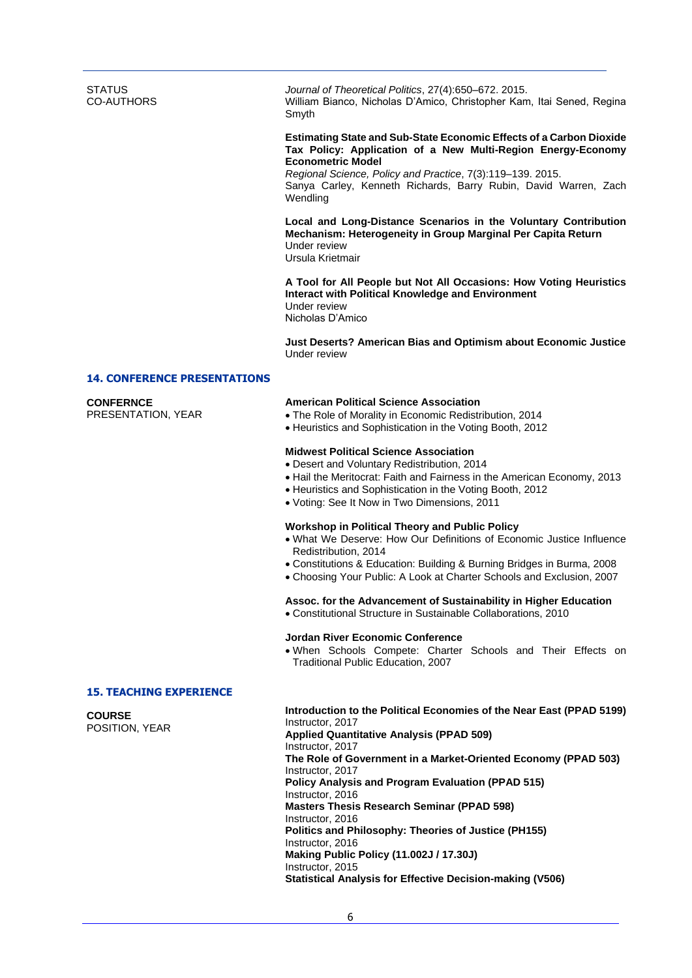**STATUS** CO-AUTHORS

*Journal of Theoretical Politics*, 27(4):650–672. 2015. William Bianco, Nicholas D'Amico, Christopher Kam, Itai Sened, Regina Smyth

## **Estimating State and Sub-State Economic Effects of a Carbon Dioxide Tax Policy: Application of a New Multi-Region Energy-Economy Econometric Model**

*Regional Science, Policy and Practice*, 7(3):119–139. 2015. Sanya Carley, Kenneth Richards, Barry Rubin, David Warren, Zach **Wendling** 

**Local and Long-Distance Scenarios in the Voluntary Contribution Mechanism: Heterogeneity in Group Marginal Per Capita Return** Under review Ursula Krietmair

**A Tool for All People but Not All Occasions: How Voting Heuristics Interact with Political Knowledge and Environment** Under review Nicholas D'Amico

**Just Deserts? American Bias and Optimism about Economic Justice** Under review

## **14. CONFERENCE PRESENTATIONS**

# **CONFERNCE**

PRESENTATION, YEAR

# **American Political Science Association**

- The Role of Morality in Economic Redistribution, 2014
- Heuristics and Sophistication in the Voting Booth, 2012

## **Midwest Political Science Association**

- Desert and Voluntary Redistribution, 2014
- Hail the Meritocrat: Faith and Fairness in the American Economy, 2013
- Heuristics and Sophistication in the Voting Booth, 2012
- Voting: See It Now in Two Dimensions, 2011

# **Workshop in Political Theory and Public Policy**

- What We Deserve: How Our Definitions of Economic Justice Influence Redistribution, 2014
- Constitutions & Education: Building & Burning Bridges in Burma, 2008
- Choosing Your Public: A Look at Charter Schools and Exclusion, 2007

# **Assoc. for the Advancement of Sustainability in Higher Education**

Constitutional Structure in Sustainable Collaborations, 2010

# **Jordan River Economic Conference**

 When Schools Compete: Charter Schools and Their Effects on Traditional Public Education, 2007

## **15. TEACHING EXPERIENCE**

**COURSE**

POSITION, YEAR

**Introduction to the Political Economies of the Near East (PPAD 5199)** Instructor, 2017 **Applied Quantitative Analysis (PPAD 509)** Instructor, 2017 **The Role of Government in a Market-Oriented Economy (PPAD 503)** Instructor, 2017 **Policy Analysis and Program Evaluation (PPAD 515)** Instructor, 2016 **Masters Thesis Research Seminar (PPAD 598)** Instructor, 2016 **Politics and Philosophy: Theories of Justice (PH155)** Instructor, 2016 **Making Public Policy (11.002J / 17.30J)** Instructor, 2015 **Statistical Analysis for Effective Decision-making (V506)**